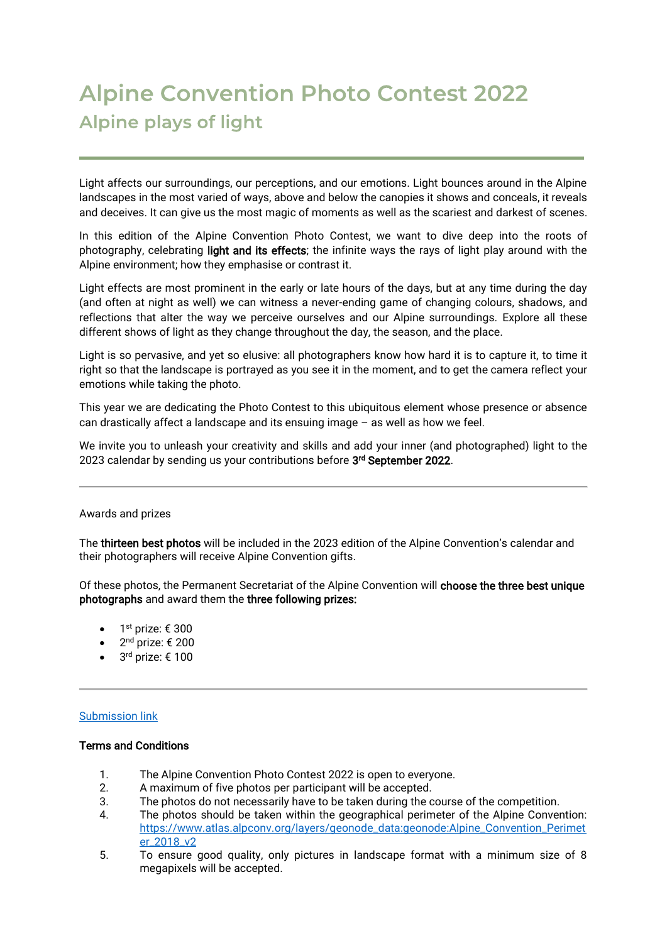## **Alpine Convention Photo Contest 2022 Alpine plays of light**

Light affects our surroundings, our perceptions, and our emotions. Light bounces around in the Alpine landscapes in the most varied of ways, above and below the canopies it shows and conceals, it reveals and deceives. It can give us the most magic of moments as well as the scariest and darkest of scenes.

In this edition of the Alpine Convention Photo Contest, we want to dive deep into the roots of photography, celebrating light and its effects; the infinite ways the rays of light play around with the Alpine environment; how they emphasise or contrast it.

Light effects are most prominent in the early or late hours of the days, but at any time during the day (and often at night as well) we can witness a never-ending game of changing colours, shadows, and reflections that alter the way we perceive ourselves and our Alpine surroundings. Explore all these different shows of light as they change throughout the day, the season, and the place.

Light is so pervasive, and yet so elusive: all photographers know how hard it is to capture it, to time it right so that the landscape is portrayed as you see it in the moment, and to get the camera reflect your emotions while taking the photo.

This year we are dedicating the Photo Contest to this ubiquitous element whose presence or absence can drastically affect a landscape and its ensuing image – as well as how we feel.

We invite you to unleash your creativity and skills and add your inner (and photographed) light to the 2023 calendar by sending us your contributions before **3<sup>rd</sup> September 2022**.

## Awards and prizes

The thirteen best photos will be included in the 2023 edition of the Alpine Convention's calendar and their photographers will receive Alpine Convention gifts.

Of these photos, the Permanent Secretariat of the Alpine Convention will choose the three best unique photographs and award them the three following prizes:

- 1st prize:  $\epsilon$  300
- $2<sup>nd</sup>$  prize:  $\epsilon$  200
- $3<sup>rd</sup>$  prize:  $\epsilon$  100

## [Submission](https://docs.google.com/forms/d/e/1FAIpQLSclaAI0W980E6OLdHFtJWMUf9ts5wrMblao3XEXJEDeMLOF0A/viewform?usp=sf_link) link

## Terms and Conditions

- 1. The Alpine Convention Photo Contest 2022 is open to everyone.
- 2. A maximum of five photos per participant will be accepted.
- 3. The photos do not necessarily have to be taken during the course of the competition.
- 4. The photos should be taken within the geographical perimeter of the Alpine Convention: [https://www.atlas.alpconv.org/layers/geonode\\_data:geonode:Alpine\\_Convention\\_Perimet](https://www.atlas.alpconv.org/layers/geonode_data:geonode:Alpine_Convention_Perimeter_2018_v2) [er\\_2018\\_v2](https://www.atlas.alpconv.org/layers/geonode_data:geonode:Alpine_Convention_Perimeter_2018_v2)
- 5. To ensure good quality, only pictures in landscape format with a minimum size of 8 megapixels will be accepted.